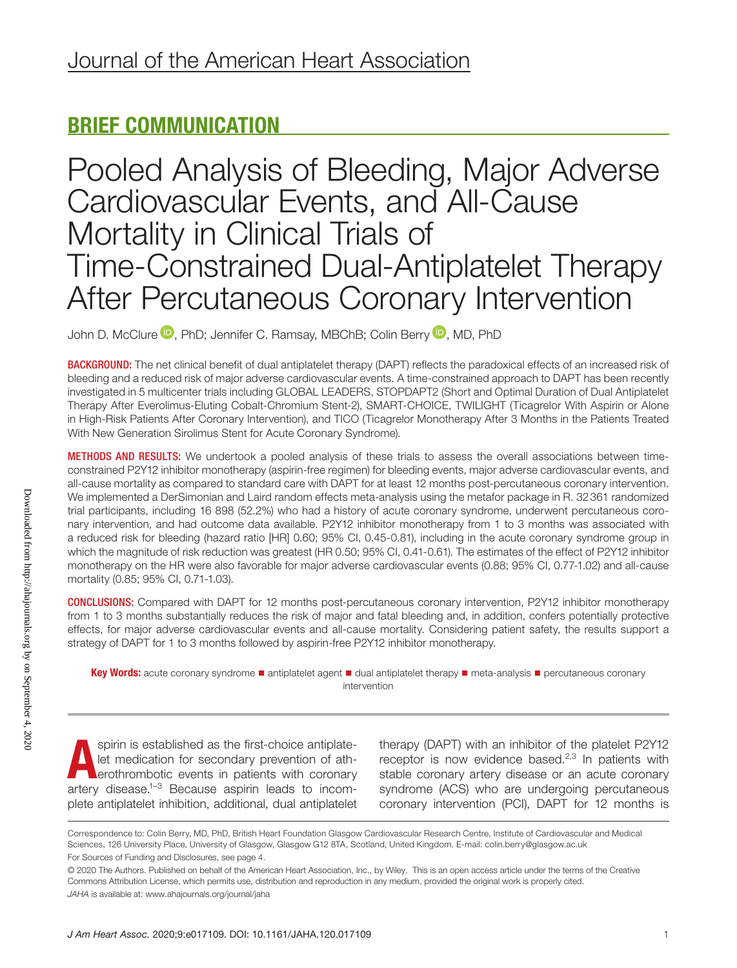# BRIEF COMMUNICATION

Pooled Analysis of Bleeding, Major Adverse Cardiovascular Events, and All-Cause Mortality in Clinical Trials of Time-Constrained Dual-Antiplatelet Therapy After Percutaneous Coronary Intervention

John D. McClure <sup>(D</sup>[,](https://orcid.org/0000-0002-4547-8636) PhD; Jennifer C. Ramsay, MBChB; Colin Berry <sup>(D</sup>, MD, PhD

BACKGROUND: The net clinical benefit of dual antiplatelet therapy (DAPT) reflects the paradoxical effects of an increased risk of bleeding and a reduced risk of major adverse cardiovascular events. A time-constrained approach to DAPT has been recently investigated in 5 multicenter trials including GLOBAL LEADERS, STOPDAPT2 (Short and Optimal Duration of Dual Antiplatelet Therapy After Everolimus-Eluting Cobalt-Chromium Stent-2), SMART-CHOICE, TWILIGHT (Ticagrelor With Aspirin or Alone in High-Risk Patients After Coronary Intervention), and TICO (Ticagrelor Monotherapy After 3 Months in the Patients Treated With New Generation Sirolimus Stent for Acute Coronary Syndrome).

METHODS AND RESULTS: We undertook a pooled analysis of these trials to assess the overall associations between timeconstrained P2Y12 inhibitor monotherapy (aspirin-free regimen) for bleeding events, major adverse cardiovascular events, and all-cause mortality as compared to standard care with DAPT for at least 12 months post-percutaneous coronary intervention. We implemented a DerSimonian and Laird random effects meta-analysis using the metafor package in R. 32361 randomized trial participants, including 16 898 (52.2%) who had a history of acute coronary syndrome, underwent percutaneous coronary intervention, and had outcome data available. P2Y12 inhibitor monotherapy from 1 to 3 months was associated with a reduced risk for bleeding (hazard ratio [HR] 0.60; 95% CI, 0.45-0.81), including in the acute coronary syndrome group in which the magnitude of risk reduction was greatest (HR 0.50; 95% CI, 0.41-0.61). The estimates of the effect of P2Y12 inhibitor monotherapy on the HR were also favorable for major adverse cardiovascular events (0.88; 95% CI, 0.77-1.02) and all-cause mortality (0.85; 95% CI, 0.71-1.03).

CONCLUSIONS: Compared with DAPT for 12 months post-percutaneous coronary intervention, P2Y12 inhibitor monotherapy from 1 to 3 months substantially reduces the risk of major and fatal bleeding and, in addition, confers potentially protective effects, for major adverse cardiovascular events and all-cause mortality. Considering patient safety, the results support a strategy of DAPT for 1 to 3 months followed by aspirin-free P2Y12 inhibitor monotherapy.

Key Words: acute coronary syndrome ■ antiplatelet agent ■ dual antiplatelet therapy ■ meta-analysis ■ percutaneous coronary intervention

spirin is established as the first-choice antiplatelet medication for secondary prevention of atherothrombotic events in patients with coronary artery disease.<sup>1-3</sup> Because aspirin leads to incomplete antiplatelet inhibition, additional, dual antiplatelet

therapy (DAPT) with an inhibitor of the platelet P2Y12 receptor is now evidence based. $2,3$  In patients with stable coronary artery disease or an acute coronary syndrome (ACS) who are undergoing percutaneous coronary intervention (PCI), DAPT for 12 months is

Downloaded from http://ahajournals.org by on September 4, 2020 Downloaded from http://ahajournals.org by on September 4, 2020

Correspondence to: Colin Berry, MD, PhD, British Heart Foundation Glasgow Cardiovascular Research Centre, Institute of Cardiovascular and Medical Sciences, 126 University Place, University of Glasgow, Glasgow G12 8TA, Scotland, United Kingdom. E-mail: [colin.berry@glasgow.ac.uk](mailto:colin.berry@glasgow.ac.uk) For Sources of Funding and Disclosures, see page 4.

<sup>© 2020</sup> The Authors. Published on behalf of the American Heart Association, Inc., by Wiley. This is an open access article under the terms of the [Creative](http://creativecommons.org/licenses/by/4.0/)  [Commons Attribution](http://creativecommons.org/licenses/by/4.0/) License, which permits use, distribution and reproduction in any medium, provided the original work is properly cited. *JAHA* is available at: [www.ahajournals.org/journal/jaha](https://www.ahajournals.org/journal/jaha)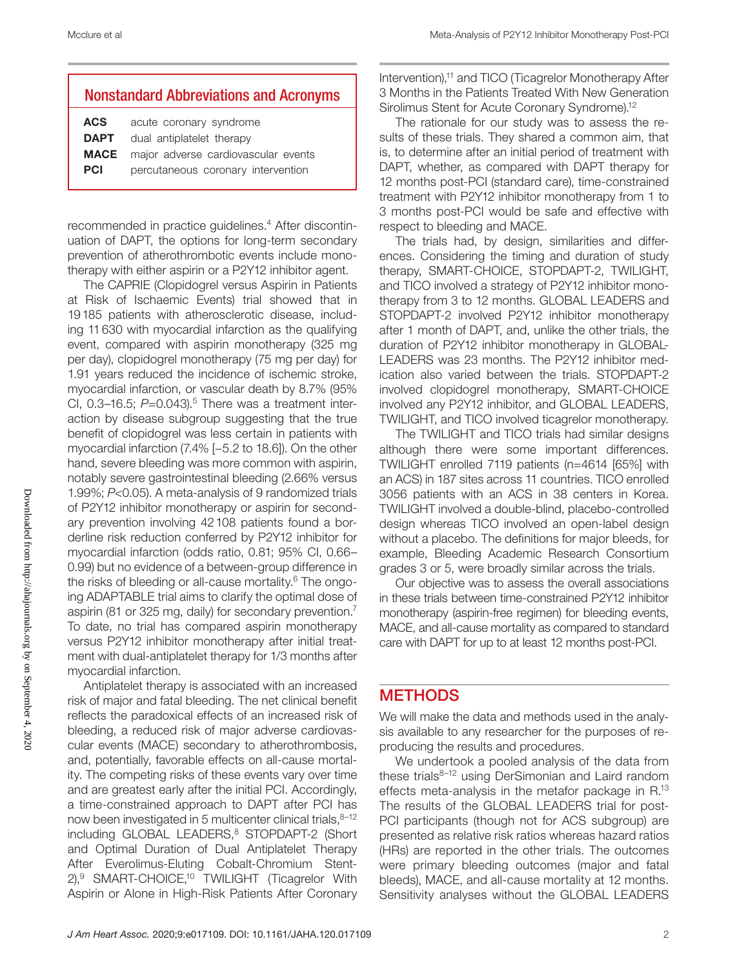### Nonstandard Abbreviations and Acronyms

| acute coronary syndrome                         |
|-------------------------------------------------|
| dual antiplatelet therapy                       |
| <b>MACE</b> major adverse cardiovascular events |
| percutaneous coronary intervention              |
|                                                 |

recommended in practice guidelines.4 After discontinuation of DAPT, the options for long-term secondary prevention of atherothrombotic events include monotherapy with either aspirin or a P2Y12 inhibitor agent.

The CAPRIE (Clopidogrel versus Aspirin in Patients at Risk of Ischaemic Events) trial showed that in 19185 patients with atherosclerotic disease, including 11630 with myocardial infarction as the qualifying event, compared with aspirin monotherapy (325 mg per day), clopidogrel monotherapy (75 mg per day) for 1.91 years reduced the incidence of ischemic stroke, myocardial infarction, or vascular death by 8.7% (95% CI, 0.3–16.5; *P*=0.043).<sup>5</sup> There was a treatment interaction by disease subgroup suggesting that the true benefit of clopidogrel was less certain in patients with myocardial infarction (7.4% [−5.2 to 18.6]). On the other hand, severe bleeding was more common with aspirin, notably severe gastrointestinal bleeding (2.66% versus 1.99%; *P*<0.05). A meta-analysis of 9 randomized trials of P2Y12 inhibitor monotherapy or aspirin for secondary prevention involving 42108 patients found a borderline risk reduction conferred by P2Y12 inhibitor for myocardial infarction (odds ratio, 0.81; 95% CI, 0.66– 0.99) but no evidence of a between-group difference in the risks of bleeding or all-cause mortality.6 The ongoing ADAPTABLE trial aims to clarify the optimal dose of aspirin (81 or 325 mg, daily) for secondary prevention.7 To date, no trial has compared aspirin monotherapy versus P2Y12 inhibitor monotherapy after initial treatment with dual-antiplatelet therapy for 1/3 months after myocardial infarction.

Antiplatelet therapy is associated with an increased risk of major and fatal bleeding. The net clinical benefit reflects the paradoxical effects of an increased risk of bleeding, a reduced risk of major adverse cardiovascular events (MACE) secondary to atherothrombosis, and, potentially, favorable effects on all-cause mortality. The competing risks of these events vary over time and are greatest early after the initial PCI. Accordingly, a time-constrained approach to DAPT after PCI has now been investigated in 5 multicenter clinical trials, 8-12 including GLOBAL LEADERS,<sup>8</sup> STOPDAPT-2 (Short and Optimal Duration of Dual Antiplatelet Therapy After Everolimus-Eluting Cobalt-Chromium Stent-2),<sup>9</sup> SMART-CHOICE,<sup>10</sup> TWILIGHT (Ticagrelor With Aspirin or Alone in High-Risk Patients After Coronary Intervention),<sup>11</sup> and TICO (Ticagrelor Monotherapy After 3 Months in the Patients Treated With New Generation Sirolimus Stent for Acute Coronary Syndrome).<sup>12</sup>

The rationale for our study was to assess the results of these trials. They shared a common aim, that is, to determine after an initial period of treatment with DAPT, whether, as compared with DAPT therapy for 12 months post-PCI (standard care), time-constrained treatment with P2Y12 inhibitor monotherapy from 1 to 3 months post-PCI would be safe and effective with respect to bleeding and MACE.

The trials had, by design, similarities and differences. Considering the timing and duration of study therapy, SMART-CHOICE, STOPDAPT-2, TWILIGHT, and TICO involved a strategy of P2Y12 inhibitor monotherapy from 3 to 12 months. GLOBAL LEADERS and STOPDAPT-2 involved P2Y12 inhibitor monotherapy after 1 month of DAPT, and, unlike the other trials, the duration of P2Y12 inhibitor monotherapy in GLOBAL-LEADERS was 23 months. The P2Y12 inhibitor medication also varied between the trials. STOPDAPT-2 involved clopidogrel monotherapy, SMART-CHOICE involved any P2Y12 inhibitor, and GLOBAL LEADERS, TWILIGHT, and TICO involved ticagrelor monotherapy.

The TWILIGHT and TICO trials had similar designs although there were some important differences. TWILIGHT enrolled 7119 patients (n=4614 [65%] with an ACS) in 187 sites across 11 countries. TICO enrolled 3056 patients with an ACS in 38 centers in Korea. TWILIGHT involved a double-blind, placebo-controlled design whereas TICO involved an open-label design without a placebo. The definitions for major bleeds, for example, Bleeding Academic Research Consortium grades 3 or 5, were broadly similar across the trials.

Our objective was to assess the overall associations in these trials between time-constrained P2Y12 inhibitor monotherapy (aspirin-free regimen) for bleeding events, MACE, and all-cause mortality as compared to standard care with DAPT for up to at least 12 months post-PCI.

# **METHODS**

We will make the data and methods used in the analysis available to any researcher for the purposes of reproducing the results and procedures.

We undertook a pooled analysis of the data from these trials $8-12$  using DerSimonian and Laird random effects meta-analysis in the metafor package in R.13 The results of the GLOBAL LEADERS trial for post-PCI participants (though not for ACS subgroup) are presented as relative risk ratios whereas hazard ratios (HRs) are reported in the other trials. The outcomes were primary bleeding outcomes (major and fatal bleeds), MACE, and all-cause mortality at 12 months. Sensitivity analyses without the GLOBAL LEADERS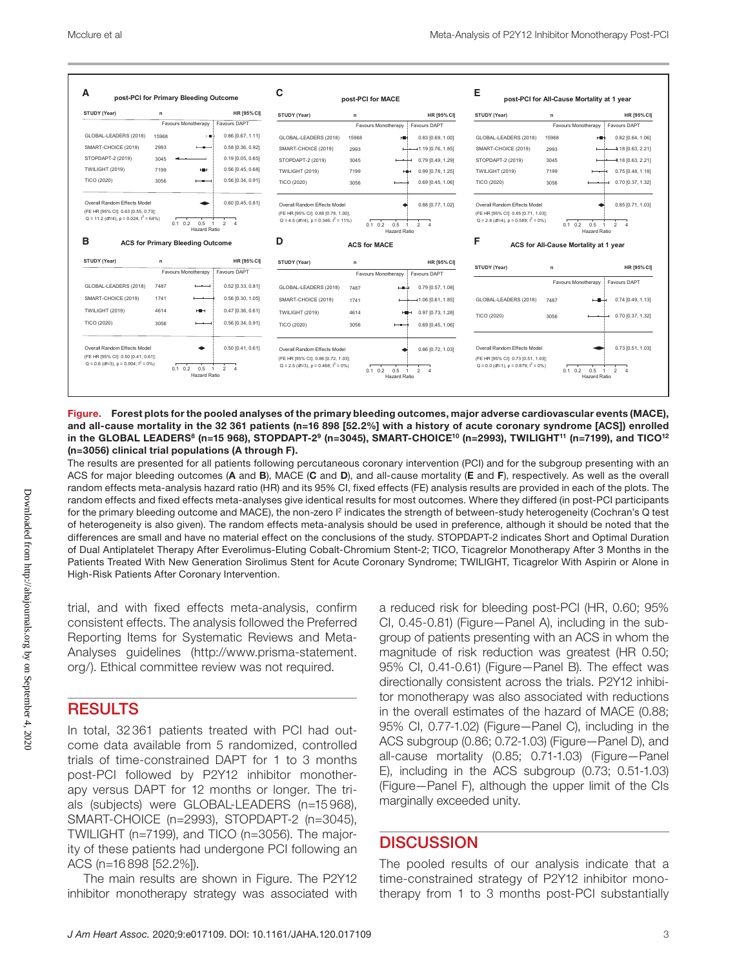

Figure. Forest plots for the pooled analyses of the primary bleeding outcomes, major adverse cardiovascular events (MACE), and all-cause mortality in the 32 361 patients (n=16 898 [52.2%] with a history of acute coronary syndrome [ACS]) enrolled in the GLOBAL LEADERS<sup>8</sup> (n=15 968), STOPDAPT-2<sup>9</sup> (n=3045), SMART-CHOICE<sup>10</sup> (n=2993), TWILIGHT<sup>11</sup> (n=7199), and TICO<sup>12</sup> (n=3056) clinical trial populations (A through F).

The results are presented for all patients following percutaneous coronary intervention (PCI) and for the subgroup presenting with an ACS for major bleeding outcomes (A and B), MACE (C and D), and all-cause mortality (E and F), respectively. As well as the overall random effects meta-analysis hazard ratio (HR) and its 95% CI, fixed effects (FE) analysis results are provided in each of the plots. The random effects and fixed effects meta-analyses give identical results for most outcomes. Where they differed (in post-PCI participants for the primary bleeding outcome and MACE), the non-zero  $l^2$  indicates the strength of between-study heterogeneity (Cochran's Q test of heterogeneity is also given). The random effects meta-analysis should be used in preference, although it should be noted that the differences are small and have no material effect on the conclusions of the study. STOPDAPT-2 indicates Short and Optimal Duration of Dual Antiplatelet Therapy After Everolimus-Eluting Cobalt-Chromium Stent-2; TICO, Ticagrelor Monotherapy After 3 Months in the Patients Treated With New Generation Sirolimus Stent for Acute Coronary Syndrome; TWILIGHT, Ticagrelor With Aspirin or Alone in High-Risk Patients After Coronary Intervention.

trial, and with fixed effects meta-analysis, confirm consistent effects. The analysis followed the Preferred Reporting Items for Systematic Reviews and Meta-Analyses guidelines ([http://www.prisma-statement.](http://www.prisma-statement.org/) [org/](http://www.prisma-statement.org/)). Ethical committee review was not required.

## **RESULTS**

In total, 32 361 patients treated with PCI had outcome data available from 5 randomized, controlled trials of time-constrained DAPT for 1 to 3 months post-PCI followed by P2Y12 inhibitor monotherapy versus DAPT for 12 months or longer. The trials (subjects) were GLOBAL-LEADERS (n=15 968), SMART-CHOICE (n=2993), STOPDAPT-2 (n=3045), TWILIGHT (n=7199), and TICO (n=3056). The majority of these patients had undergone PCI following an ACS (n=16 898 [52.2%]).

The main results are shown in Figure. The P2Y12 inhibitor monotherapy strategy was associated with a reduced risk for bleeding post-PCI (HR, 0.60; 95% CI, 0.45-0.81) (Figure—Panel A), including in the subgroup of patients presenting with an ACS in whom the magnitude of risk reduction was greatest (HR 0.50; 95% CI, 0.41-0.61) (Figure—Panel B). The effect was directionally consistent across the trials. P2Y12 inhibitor monotherapy was also associated with reductions in the overall estimates of the hazard of MACE (0.88; 95% CI, 0.77-1.02) (Figure—Panel C), including in the ACS subgroup (0.86; 0.72-1.03) (Figure—Panel D), and all-cause mortality (0.85; 0.71-1.03) (Figure—Panel E), including in the ACS subgroup (0.73; 0.51-1.03) (Figure—Panel F), although the upper limit of the CIs marginally exceeded unity.

### **DISCUSSION**

The pooled results of our analysis indicate that a time-constrained strategy of P2Y12 inhibitor monotherapy from 1 to 3 months post-PCI substantially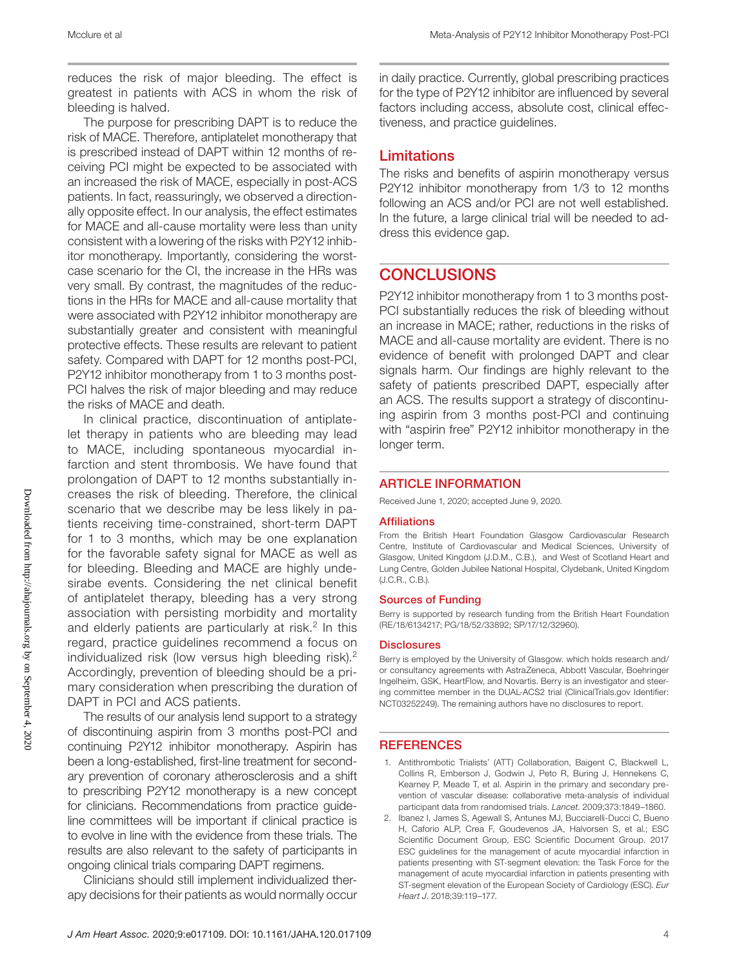reduces the risk of major bleeding. The effect is greatest in patients with ACS in whom the risk of bleeding is halved.

The purpose for prescribing DAPT is to reduce the risk of MACE. Therefore, antiplatelet monotherapy that is prescribed instead of DAPT within 12 months of receiving PCI might be expected to be associated with an increased the risk of MACE, especially in post-ACS patients. In fact, reassuringly, we observed a directionally opposite effect. In our analysis, the effect estimates for MACE and all-cause mortality were less than unity consistent with a lowering of the risks with P2Y12 inhibitor monotherapy. Importantly, considering the worstcase scenario for the CI, the increase in the HRs was very small. By contrast, the magnitudes of the reductions in the HRs for MACE and all-cause mortality that were associated with P2Y12 inhibitor monotherapy are substantially greater and consistent with meaningful protective effects. These results are relevant to patient safety. Compared with DAPT for 12 months post-PCI, P2Y12 inhibitor monotherapy from 1 to 3 months post-PCI halves the risk of major bleeding and may reduce the risks of MACE and death.

In clinical practice, discontinuation of antiplatelet therapy in patients who are bleeding may lead to MACE, including spontaneous myocardial infarction and stent thrombosis. We have found that prolongation of DAPT to 12 months substantially increases the risk of bleeding. Therefore, the clinical scenario that we describe may be less likely in patients receiving time-constrained, short-term DAPT for 1 to 3 months, which may be one explanation for the favorable safety signal for MACE as well as for bleeding. Bleeding and MACE are highly undesirabe events. Considering the net clinical benefit of antiplatelet therapy, bleeding has a very strong association with persisting morbidity and mortality and elderly patients are particularly at risk. $2 \ln t$ his regard, practice guidelines recommend a focus on individualized risk (low versus high bleeding risk).2 Accordingly, prevention of bleeding should be a primary consideration when prescribing the duration of DAPT in PCI and ACS patients.

The results of our analysis lend support to a strategy of discontinuing aspirin from 3 months post-PCI and continuing P2Y12 inhibitor monotherapy. Aspirin has been a long-established, first-line treatment for secondary prevention of coronary atherosclerosis and a shift to prescribing P2Y12 monotherapy is a new concept for clinicians. Recommendations from practice guideline committees will be important if clinical practice is to evolve in line with the evidence from these trials. The results are also relevant to the safety of participants in ongoing clinical trials comparing DAPT regimens.

Clinicians should still implement individualized therapy decisions for their patients as would normally occur in daily practice. Currently, global prescribing practices for the type of P2Y12 inhibitor are influenced by several factors including access, absolute cost, clinical effectiveness, and practice guidelines.

### Limitations

The risks and benefits of aspirin monotherapy versus P2Y12 inhibitor monotherapy from 1/3 to 12 months following an ACS and/or PCI are not well established. In the future, a large clinical trial will be needed to address this evidence gap.

### **CONCLUSIONS**

P2Y12 inhibitor monotherapy from 1 to 3 months post-PCI substantially reduces the risk of bleeding without an increase in MACE; rather, reductions in the risks of MACE and all-cause mortality are evident. There is no evidence of benefit with prolonged DAPT and clear signals harm. Our findings are highly relevant to the safety of patients prescribed DAPT, especially after an ACS. The results support a strategy of discontinuing aspirin from 3 months post-PCI and continuing with "aspirin free" P2Y12 inhibitor monotherapy in the longer term.

#### ARTICLE INFORMATION

Received June 1, 2020; accepted June 9, 2020.

#### Affiliations

From the British Heart Foundation Glasgow Cardiovascular Research Centre, Institute of Cardiovascular and Medical Sciences, University of Glasgow, United Kingdom (J.D.M., C.B.), and West of Scotland Heart and Lung Centre, Golden Jubilee National Hospital, Clydebank, United Kingdom (J.C.R., C.B.).

#### Sources of Funding

Berry is supported by research funding from the British Heart Foundation (RE/18/6134217; PG/18/52/33892; SP/17/12/32960).

#### **Disclosures**

Berry is employed by the University of Glasgow. which holds research and/ or consultancy agreements with AstraZeneca, Abbott Vascular, Boehringer Ingelheim, GSK, HeartFlow, and Novartis. Berry is an investigator and steering committee member in the DUAL-ACS2 trial [\(ClinicalTrials.gov](http://ClinicalTrials.gov) Identifier: NCT03252249). The remaining authors have no disclosures to report.

#### **REFERENCES**

- 1. Antithrombotic Trialists' (ATT) Collaboration, Baigent C, Blackwell L, Collins R, Emberson J, Godwin J, Peto R, Buring J, Hennekens C, Kearney P, Meade T, et al. Aspirin in the primary and secondary prevention of vascular disease: collaborative meta-analysis of individual participant data from randomised trials. *Lancet*. 2009;373:1849–1860.
- 2. Ibanez I, James S, Agewall S, Antunes MJ, Bucciarelli-Ducci C, Bueno H, Caforio ALP, Crea F, Goudevenos JA, Halvorsen S, et al.; ESC Scientific Document Group, ESC Scientific Document Group. 2017 ESC guidelines for the management of acute myocardial infarction in patients presenting with ST-segment elevation: the Task Force for the management of acute myocardial infarction in patients presenting with ST-segment elevation of the European Society of Cardiology (ESC). *Eur Heart J*. 2018;39:119–177.